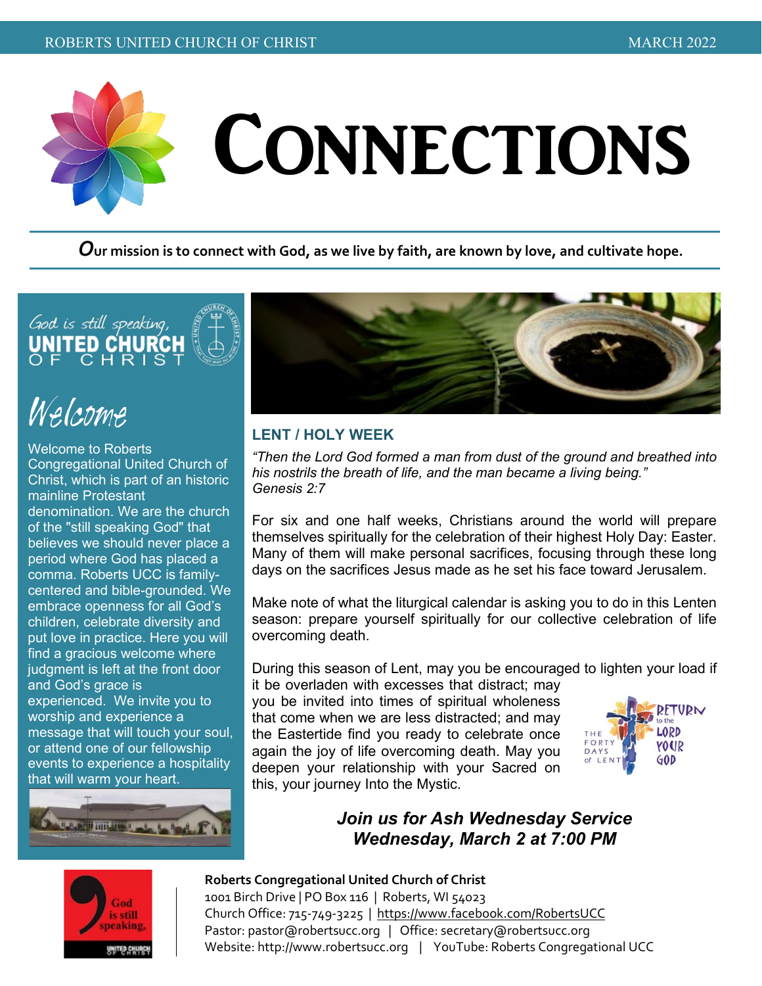

*O***ur mission is to connect with God, as we live by faith, are known by love, and cultivate hope.**



### Welcome

Welcome to Roberts Congregational United Church of Christ, which is part of an historic mainline Protestant denomination. We are the church of the "still speaking God" that believes we should never place a period where God has placed a comma. Roberts UCC is familycentered and bible-grounded. We embrace openness for all God's children, celebrate diversity and put love in practice. Here you will find a gracious welcome where judgment is left at the front door and God's grace is experienced. We invite you to worship and experience a message that will touch your soul, or attend one of our fellowship events to experience a hospitality that will warm your heart.





#### **LENT / HOLY WEEK**

*"Then the Lord God formed a man from dust of the ground and breathed into his nostrils the breath of life, and the man became a living being." Genesis 2:7*

For six and one half weeks, Christians around the world will prepare themselves spiritually for the celebration of their highest Holy Day: Easter. Many of them will make personal sacrifices, focusing through these long days on the sacrifices Jesus made as he set his face toward Jerusalem.

Make note of what the liturgical calendar is asking you to do in this Lenten season: prepare yourself spiritually for our collective celebration of life overcoming death.

During this season of Lent, may you be encouraged to lighten your load if

it be overladen with excesses that distract; may you be invited into times of spiritual wholeness that come when we are less distracted; and may the Eastertide find you ready to celebrate once again the joy of life overcoming death. May you deepen your relationship with your Sacred on this, your journey Into the Mystic.



#### *Join us for Ash Wednesday Service Wednesday, March 2 at 7:00 PM*



#### **Roberts Congregational United Church of Christ**

1001 Birch Drive | PO Box 116 | Roberts, WI 54023 Church Office: 715-749-3225 |<https://www.facebook.com/RobertsUCC> Pastor: [pastor@robertsucc.org](mailto:pastor@robertsucc.org) | Office[: secretary@robertsucc.org](mailto:secretary@robertsucc.org) Website: [http://www.robertsucc.org](http://www.robertsucc.org/) | YouTube: Roberts Congregational UCC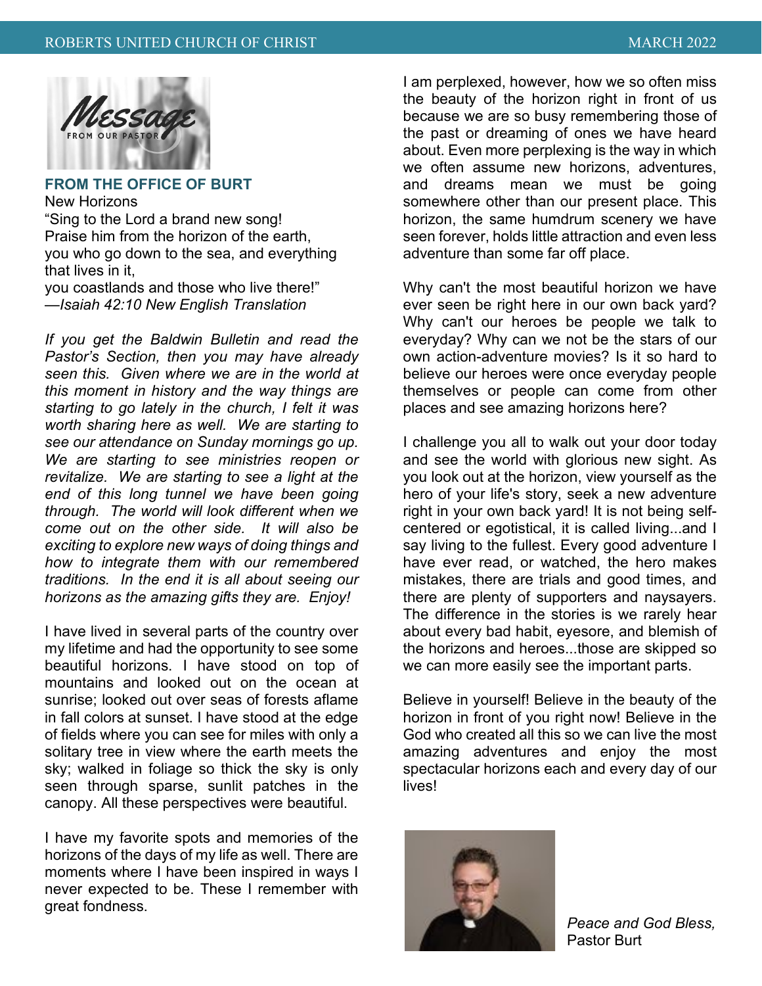

#### **FROM THE OFFICE OF BURT**

New Horizons

"Sing to the Lord a brand new song! Praise him from the horizon of the earth, you who go down to the sea, and everything that lives in it,

you coastlands and those who live there!" *—Isaiah 42:10 New English Translation*

*If you get the Baldwin Bulletin and read the Pastor's Section, then you may have already seen this. Given where we are in the world at this moment in history and the way things are starting to go lately in the church, I felt it was worth sharing here as well. We are starting to see our attendance on Sunday mornings go up. We are starting to see ministries reopen or revitalize. We are starting to see a light at the end of this long tunnel we have been going through. The world will look different when we come out on the other side. It will also be exciting to explore new ways of doing things and how to integrate them with our remembered traditions. In the end it is all about seeing our horizons as the amazing gifts they are. Enjoy!*

I have lived in several parts of the country over my lifetime and had the opportunity to see some beautiful horizons. I have stood on top of mountains and looked out on the ocean at sunrise; looked out over seas of forests aflame in fall colors at sunset. I have stood at the edge of fields where you can see for miles with only a solitary tree in view where the earth meets the sky; walked in foliage so thick the sky is only seen through sparse, sunlit patches in the canopy. All these perspectives were beautiful.

I have my favorite spots and memories of the horizons of the days of my life as well. There are moments where I have been inspired in ways I never expected to be. These I remember with great fondness.

I am perplexed, however, how we so often miss the beauty of the horizon right in front of us because we are so busy remembering those of the past or dreaming of ones we have heard about. Even more perplexing is the way in which we often assume new horizons, adventures, and dreams mean we must be going somewhere other than our present place. This horizon, the same humdrum scenery we have seen forever, holds little attraction and even less adventure than some far off place.

Why can't the most beautiful horizon we have ever seen be right here in our own back yard? Why can't our heroes be people we talk to everyday? Why can we not be the stars of our own action-adventure movies? Is it so hard to believe our heroes were once everyday people themselves or people can come from other places and see amazing horizons here?

I challenge you all to walk out your door today and see the world with glorious new sight. As you look out at the horizon, view yourself as the hero of your life's story, seek a new adventure right in your own back yard! It is not being selfcentered or egotistical, it is called living...and I say living to the fullest. Every good adventure I have ever read, or watched, the hero makes mistakes, there are trials and good times, and there are plenty of supporters and naysayers. The difference in the stories is we rarely hear about every bad habit, eyesore, and blemish of the horizons and heroes...those are skipped so we can more easily see the important parts.

Believe in yourself! Believe in the beauty of the horizon in front of you right now! Believe in the God who created all this so we can live the most amazing adventures and enjoy the most spectacular horizons each and every day of our **lives!** 



*Peace and God Bless,* Pastor Burt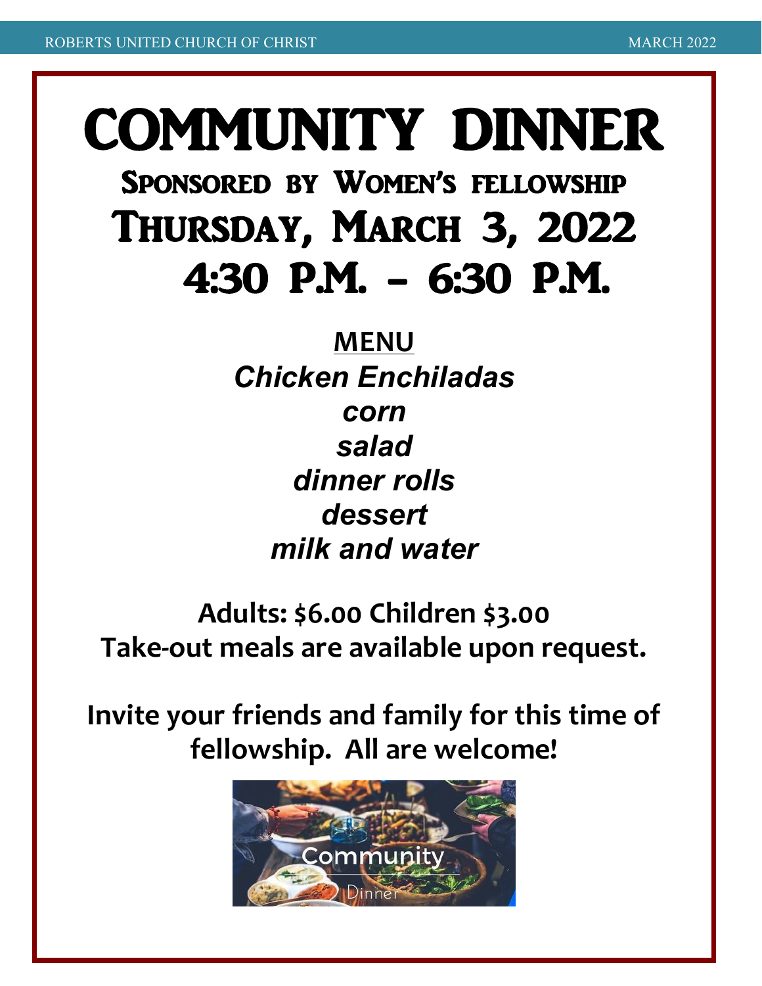# COMMUNITY DINNER<br>Sponsored by Women's fellowship Thursday, March 3, 2022 4:30 P.M. - 6:30 P.M.

## **MENU**

*Chicken Enchiladas corn salad dinner rolls dessert milk and water*

**Adults: \$6.00 Children \$3.00 Take-out meals are available upon request.**

**Invite your friends and family for this time of fellowship. All are welcome!**

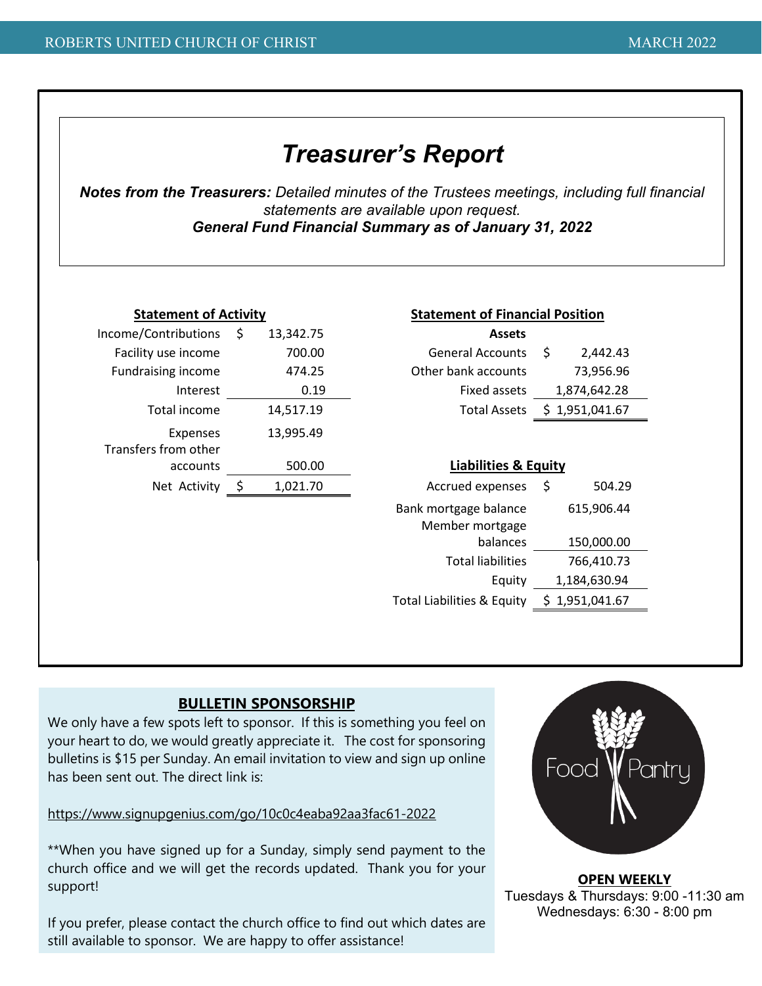#### *Treasurer's Report*

*Notes from the Treasurers: Detailed minutes of the Trustees meetings, including full financial statements are available upon request. General Fund Financial Summary as of January 31, 2022*

| <b>Statement of Activity</b>     |   |           | <b>Statement of Financial Position</b>   |                                 |                |  |  |
|----------------------------------|---|-----------|------------------------------------------|---------------------------------|----------------|--|--|
| Income/Contributions             | Ś | 13,342.75 | <b>Assets</b>                            |                                 |                |  |  |
| Facility use income              |   | 700.00    | <b>General Accounts</b>                  | \$                              | 2,442.43       |  |  |
| <b>Fundraising income</b>        |   | 474.25    | Other bank accounts                      |                                 | 73,956.96      |  |  |
| Interest                         |   | 0.19      | Fixed assets                             |                                 | 1,874,642.28   |  |  |
| Total income                     |   | 14,517.19 | <b>Total Assets</b>                      |                                 | \$1,951,041.67 |  |  |
| Expenses<br>Transfers from other |   | 13,995.49 |                                          |                                 |                |  |  |
| accounts                         |   | 500.00    |                                          | <b>Liabilities &amp; Equity</b> |                |  |  |
| Net Activity                     |   | 1,021.70  | Accrued expenses                         | \$                              | 504.29         |  |  |
|                                  |   |           | Bank mortgage balance<br>Member mortgage |                                 | 615,906.44     |  |  |
|                                  |   |           | balances                                 |                                 | 150,000.00     |  |  |
|                                  |   |           | <b>Total liabilities</b>                 |                                 | 766,410.73     |  |  |
|                                  |   |           | Equity                                   |                                 | 1,184,630.94   |  |  |
|                                  |   |           | Total Liabilities & Equity               |                                 | \$1,951,041.67 |  |  |
|                                  |   |           |                                          |                                 |                |  |  |

#### **BULLETIN SPONSORSHIP**

We only have a few spots left to sponsor. If this is something you feel on your heart to do, we would greatly appreciate it. The cost for sponsoring bulletins is \$15 per Sunday. An email invitation to view and sign up online has been sent out. The direct link is:

<https://www.signupgenius.com/go/10c0c4eaba92aa3fac61-2022>

\*\*When you have signed up for a Sunday, simply send payment to the church office and we will get the records updated. Thank you for your support!

If you prefer, please contact the church office to find out which dates are still available to sponsor. We are happy to offer assistance!



**OPEN WEEKLY** Tuesdays & Thursdays: 9:00 -11:30 am Wednesdays: 6:30 - 8:00 pm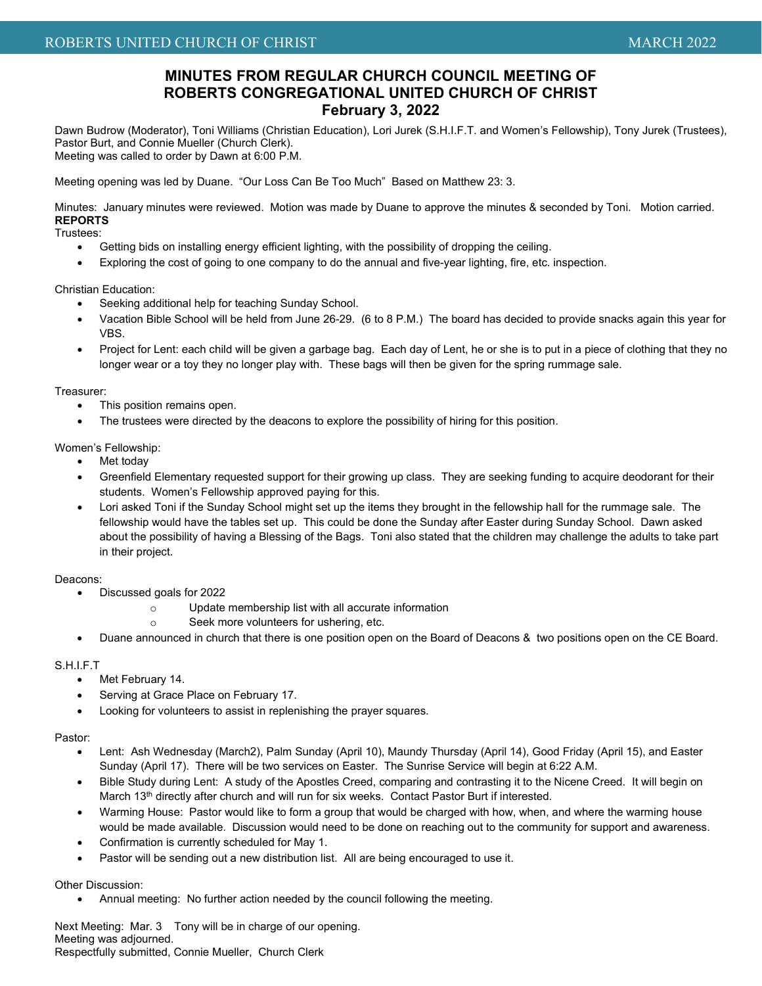#### **MINUTES FROM REGULAR CHURCH COUNCIL MEETING OF ROBERTS CONGREGATIONAL UNITED CHURCH OF CHRIST February 3, 2022**

Dawn Budrow (Moderator), Toni Williams (Christian Education), Lori Jurek (S.H.I.F.T. and Women's Fellowship), Tony Jurek (Trustees), Pastor Burt, and Connie Mueller (Church Clerk). Meeting was called to order by Dawn at 6:00 P.M.

Meeting opening was led by Duane. "Our Loss Can Be Too Much" Based on Matthew 23: 3.

Minutes: January minutes were reviewed. Motion was made by Duane to approve the minutes & seconded by Toni. Motion carried. **REPORTS**

Trustees:

- Getting bids on installing energy efficient lighting, with the possibility of dropping the ceiling.
- Exploring the cost of going to one company to do the annual and five-year lighting, fire, etc. inspection.

Christian Education:

- Seeking additional help for teaching Sunday School.
- Vacation Bible School will be held from June 26-29. (6 to 8 P.M.) The board has decided to provide snacks again this year for VBS.
- Project for Lent: each child will be given a garbage bag. Each day of Lent, he or she is to put in a piece of clothing that they no longer wear or a toy they no longer play with. These bags will then be given for the spring rummage sale.

#### Treasurer:

- This position remains open.
- The trustees were directed by the deacons to explore the possibility of hiring for this position.

#### Women's Fellowship:

- Met today
- Greenfield Elementary requested support for their growing up class. They are seeking funding to acquire deodorant for their students. Women's Fellowship approved paying for this.
- Lori asked Toni if the Sunday School might set up the items they brought in the fellowship hall for the rummage sale. The fellowship would have the tables set up. This could be done the Sunday after Easter during Sunday School. Dawn asked about the possibility of having a Blessing of the Bags. Toni also stated that the children may challenge the adults to take part in their project.

#### Deacons:

- Discussed goals for 2022
	- o Update membership list with all accurate information
	- o Seek more volunteers for ushering, etc.
- Duane announced in church that there is one position open on the Board of Deacons & two positions open on the CE Board.

#### S.H.I.F.T

- Met February 14.
- Serving at Grace Place on February 17.
- Looking for volunteers to assist in replenishing the prayer squares.

#### Pastor:

- Lent: Ash Wednesday (March2), Palm Sunday (April 10), Maundy Thursday (April 14), Good Friday (April 15), and Easter Sunday (April 17). There will be two services on Easter. The Sunrise Service will begin at 6:22 A.M.
- Bible Study during Lent: A study of the Apostles Creed, comparing and contrasting it to the Nicene Creed. It will begin on March 13<sup>th</sup> directly after church and will run for six weeks. Contact Pastor Burt if interested.
- Warming House: Pastor would like to form a group that would be charged with how, when, and where the warming house would be made available. Discussion would need to be done on reaching out to the community for support and awareness.
- Confirmation is currently scheduled for May 1.
- Pastor will be sending out a new distribution list. All are being encouraged to use it.

#### Other Discussion:

• Annual meeting: No further action needed by the council following the meeting.

Next Meeting: Mar. 3 Tony will be in charge of our opening. Meeting was adjourned. Respectfully submitted, Connie Mueller, Church Clerk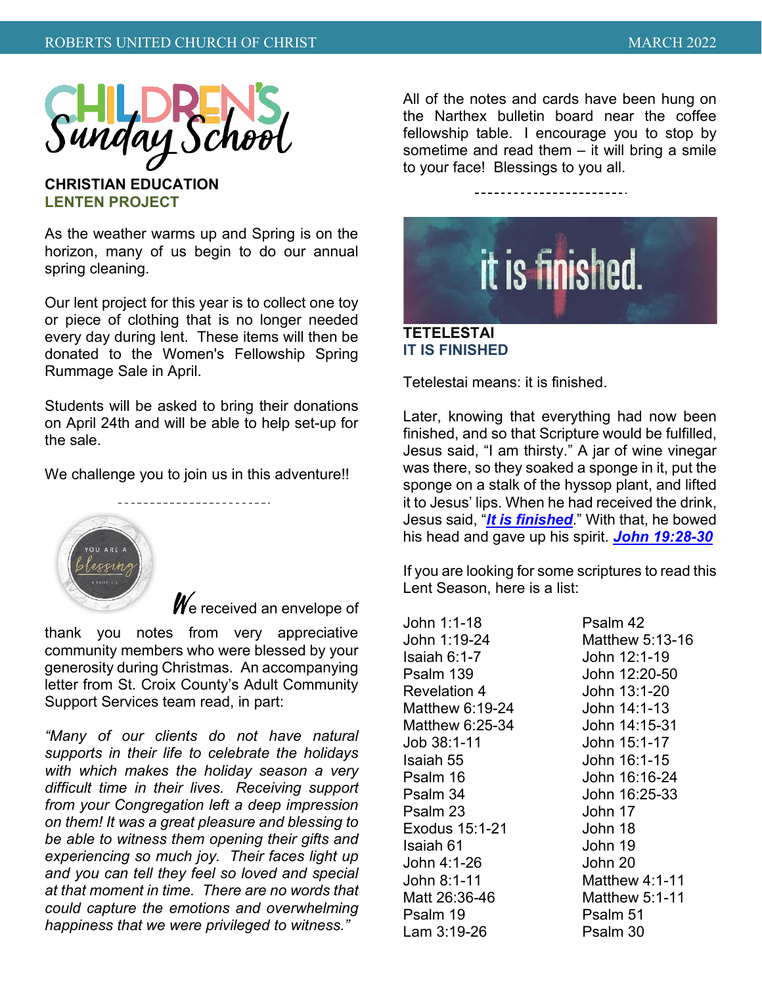

**CHRISTIAN EDUCATION LENTEN PROJECT**

As the weather warms up and Spring is on the horizon, many of us begin to do our annual spring cleaning.

Our lent project for this year is to collect one toy or piece of clothing that is no longer needed every day during lent. These items will then be donated to the Women's Fellowship Spring Rummage Sale in April.

Students will be asked to bring their donations on April 24th and will be able to help set-up for the sale.

We challenge you to join us in this adventure!!



 $\mathscr{W}_{\mathrm{e}}$  received an envelope of

thank you notes from very appreciative community members who were blessed by your generosity during Christmas. An accompanying letter from St. Croix County's Adult Community Support Services team read, in part:

*"Many of our clients do not have natural supports in their life to celebrate the holidays with which makes the holiday season a very difficult time in their lives. Receiving support from your Congregation left a deep impression on them! It was a great pleasure and blessing to be able to witness them opening their gifts and experiencing so much joy. Their faces light up and you can tell they feel so loved and special at that moment in time. There are no words that could capture the emotions and overwhelming happiness that we were privileged to witness."*

All of the notes and cards have been hung on the Narthex bulletin board near the coffee fellowship table. I encourage you to stop by sometime and read them – it will bring a smile to your face! Blessings to you all.



Tetelestai means: it is finished.

Later, knowing that everything had now been finished, and so that Scripture would be fulfilled, Jesus said, "I am thirsty." A jar of wine vinegar was there, so they soaked a sponge in it, put the sponge on a stalk of the hyssop plant, and lifted it to Jesus' lips. When he had received the drink, Jesus said, "*[It is finished](https://www.christianity.com/wiki/bible/meaning-and-significance-of-john-1930-it-is-finished.html)*." With that, he bowed his head and gave up his spirit. *[John 19:28-30](http://www.christianity.com/bible/search/?ver=niv&q=john+19%3a28-30)*

If you are looking for some scriptures to read this Lent Season, here is a list:

John 1:1-18 Psalm 42 John 1:19-24 Matthew 5:13-16 Isaiah 6:1-7 John 12:1-19 Psalm 139 John 12:20-50 Revelation 4 John 13:1-20 Matthew 6:19-24 John 14:1-13 Matthew 6:25-34 John 14:15-31 Job 38:1-11 John 15:1-17 Isaiah 55 John 16:1-15 Psalm 16 John 16:16-24 Psalm 34 John 16:25-33 Psalm 23 John 17 Exodus 15:1-21 John 18 Isaiah 61 John 19 John 4:1-26 John 20 John 8:1-11 Matthew 4:1-11 Psalm 19 Psalm 51 Lam 3:19-26 Psalm 30

Matthew  $5:1-11$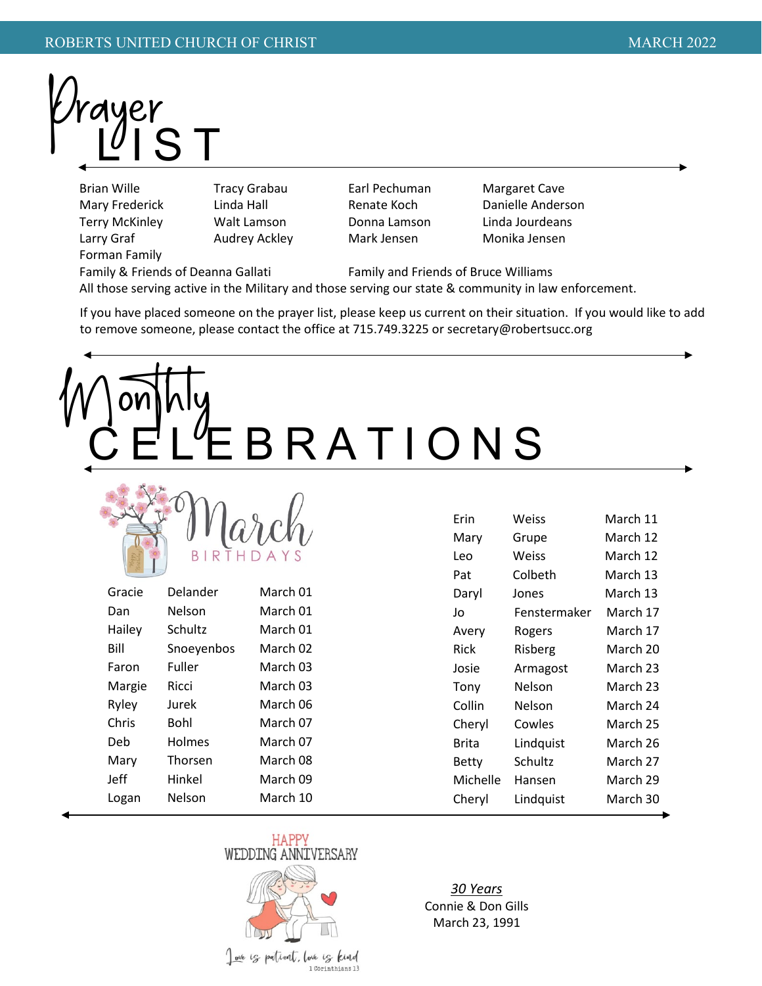ayer

Brian Wille **Tracy Grabau** Earl Pechuman Margaret Cave Larry Graf Audrey Ackley Mark Jensen Monika Jensen Forman Family

Mary Frederick Linda Hall Renate Koch Danielle Anderson Terry McKinley Walt Lamson Donna Lamson Linda Jourdeans

Family & Friends of Deanna Gallati Family and Friends of Bruce Williams

All those serving active in the Military and those serving our state & community in law enforcement.

If you have placed someone on the prayer list, please keep us current on their situation. If you would like to add to remove someone, please contact the office at 715.749.3225 or secretary@robertsucc.org

# BRATIONS



| Gracie | Delander   | March 01 |
|--------|------------|----------|
| Dan    | Nelson     | March 01 |
| Hailey | Schultz    | March 01 |
| Bill   | Snoeyenbos | March 02 |
| Faron  | Fuller     | March 03 |
| Margie | Ricci      | March 03 |
| Ryley  | Jurek      | March 06 |
| Chris  | Bohl       | March 07 |
| Deb    | Holmes     | March 07 |
| Mary   | Thorsen    | March 08 |
| Jeff   | Hinkel     | March 09 |
| Logan  | Nelson     | March 10 |
|        |            |          |

| Erin     | Weiss        | March 11 |  |  |
|----------|--------------|----------|--|--|
| Mary     | Grupe        | March 12 |  |  |
| Leo      | Weiss        | March 12 |  |  |
| Pat      | Colbeth      | March 13 |  |  |
| Daryl    | Jones        | March 13 |  |  |
| Jo       | Fenstermaker | March 17 |  |  |
| Avery    | Rogers       | March 17 |  |  |
| Rick     | Risberg      | March 20 |  |  |
| Josie    | Armagost     | March 23 |  |  |
| Tony     | Nelson       | March 23 |  |  |
| Collin   | Nelson       | March 24 |  |  |
| Cheryl   | Cowles       | March 25 |  |  |
| Brita    | Lindquist    | March 26 |  |  |
| Betty    | Schultz      | March 27 |  |  |
| Michelle | Hansen       | March 29 |  |  |
| Cheryl   | Lindquist    | March 30 |  |  |
|          |              |          |  |  |



ove is patient, love is kind 1 Corinthians 13

*30 Years* Connie & Don Gills March 23, 1991